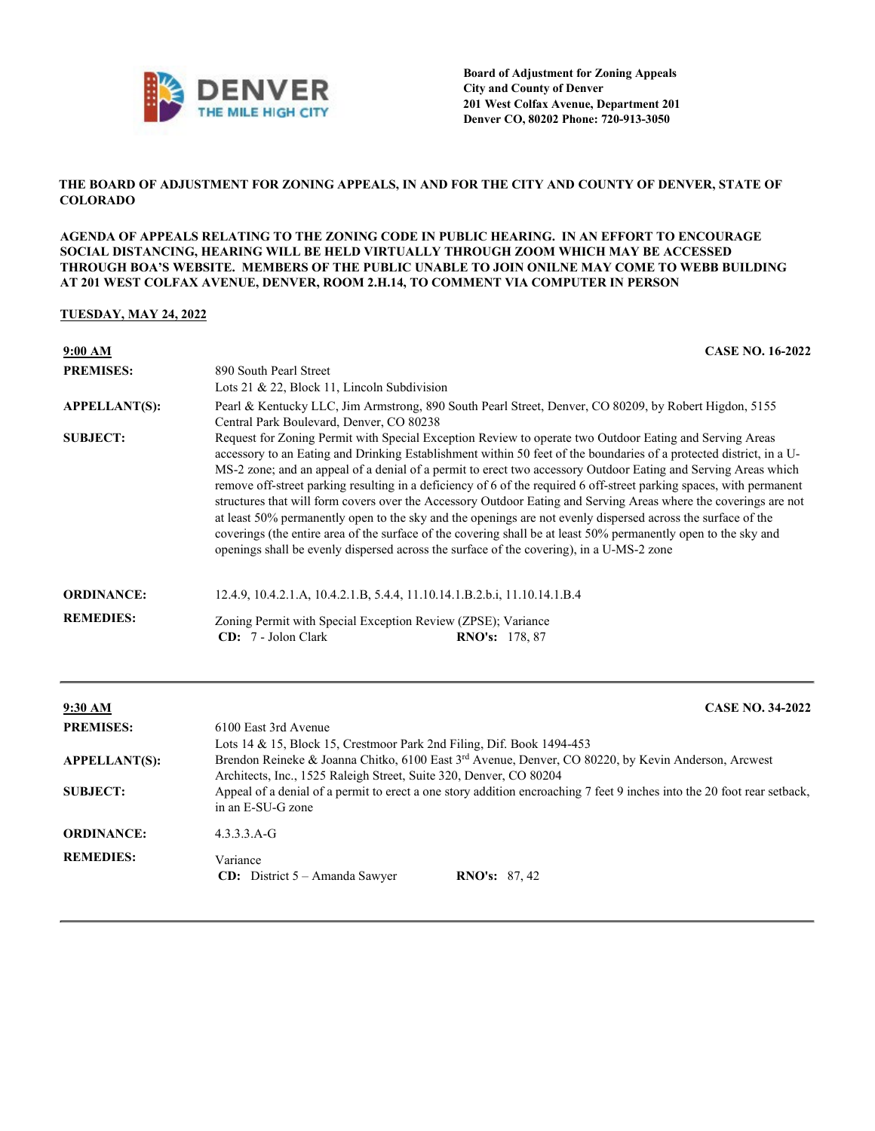

## **THE BOARD OF ADJUSTMENT FOR ZONING APPEALS, IN AND FOR THE CITY AND COUNTY OF DENVER, STATE OF COLORADO**

**AGENDA OF APPEALS RELATING TO THE ZONING CODE IN PUBLIC HEARING. IN AN EFFORT TO ENCOURAGE SOCIAL DISTANCING, HEARING WILL BE HELD VIRTUALLY THROUGH ZOOM WHICH MAY BE ACCESSED THROUGH BOA'S WEBSITE. MEMBERS OF THE PUBLIC UNABLE TO JOIN ONILNE MAY COME TO WEBB BUILDING AT 201 WEST COLFAX AVENUE, DENVER, ROOM 2.H.14, TO COMMENT VIA COMPUTER IN PERSON**

## **TUESDAY, MAY 24, 2022**

| 9:00 AM              | <b>CASE NO. 16-2022</b>                                                                                                                                                                                                                                                                                                                                                                                                                                                                                                                                                                                                                                                                                                                                                                                                                                                                                                     |  |
|----------------------|-----------------------------------------------------------------------------------------------------------------------------------------------------------------------------------------------------------------------------------------------------------------------------------------------------------------------------------------------------------------------------------------------------------------------------------------------------------------------------------------------------------------------------------------------------------------------------------------------------------------------------------------------------------------------------------------------------------------------------------------------------------------------------------------------------------------------------------------------------------------------------------------------------------------------------|--|
| <b>PREMISES:</b>     | 890 South Pearl Street<br>Lots 21 & 22, Block 11, Lincoln Subdivision                                                                                                                                                                                                                                                                                                                                                                                                                                                                                                                                                                                                                                                                                                                                                                                                                                                       |  |
| <b>APPELLANT(S):</b> | Pearl & Kentucky LLC, Jim Armstrong, 890 South Pearl Street, Denver, CO 80209, by Robert Higdon, 5155<br>Central Park Boulevard, Denver, CO 80238                                                                                                                                                                                                                                                                                                                                                                                                                                                                                                                                                                                                                                                                                                                                                                           |  |
| <b>SUBJECT:</b>      | Request for Zoning Permit with Special Exception Review to operate two Outdoor Eating and Serving Areas<br>accessory to an Eating and Drinking Establishment within 50 feet of the boundaries of a protected district, in a U-<br>MS-2 zone; and an appeal of a denial of a permit to erect two accessory Outdoor Eating and Serving Areas which<br>remove off-street parking resulting in a deficiency of 6 of the required 6 off-street parking spaces, with permanent<br>structures that will form covers over the Accessory Outdoor Eating and Serving Areas where the coverings are not<br>at least 50% permanently open to the sky and the openings are not evenly dispersed across the surface of the<br>coverings (the entire area of the surface of the covering shall be at least 50% permanently open to the sky and<br>openings shall be evenly dispersed across the surface of the covering), in a U-MS-2 zone |  |
| <b>ORDINANCE:</b>    | 12.4.9, 10.4.2.1.A, 10.4.2.1.B, 5.4.4, 11.10.14.1.B.2.b.i, 11.10.14.1.B.4                                                                                                                                                                                                                                                                                                                                                                                                                                                                                                                                                                                                                                                                                                                                                                                                                                                   |  |
| <b>REMEDIES:</b>     | Zoning Permit with Special Exception Review (ZPSE); Variance<br>CD: 7 - Jolon Clark<br><b>RNO's:</b> 178, 87                                                                                                                                                                                                                                                                                                                                                                                                                                                                                                                                                                                                                                                                                                                                                                                                                |  |

| 9:30 AM              | <b>CASE NO. 34-2022</b>                                                                                                                                                               |  |  |
|----------------------|---------------------------------------------------------------------------------------------------------------------------------------------------------------------------------------|--|--|
| <b>PREMISES:</b>     | 6100 East 3rd Avenue<br>Lots 14 & 15, Block 15, Crestmoor Park 2nd Filing, Dif. Book 1494-453                                                                                         |  |  |
| <b>APPELLANT(S):</b> | Brendon Reineke & Joanna Chitko, 6100 East 3 <sup>rd</sup> Avenue, Denver, CO 80220, by Kevin Anderson, Arcwest<br>Architects, Inc., 1525 Raleigh Street, Suite 320, Denver, CO 80204 |  |  |
| <b>SUBJECT:</b>      | Appeal of a denial of a permit to erect a one story addition encroaching 7 feet 9 inches into the 20 foot rear setback,<br>in an E-SU-G zone                                          |  |  |
| <b>ORDINANCE:</b>    | $4.3.3.3. A - G$                                                                                                                                                                      |  |  |
| <b>REMEDIES:</b>     | Variance<br><b>CD:</b> District $5 - A$ manda Sawyer<br><b>RNO's:</b> 87, 42                                                                                                          |  |  |